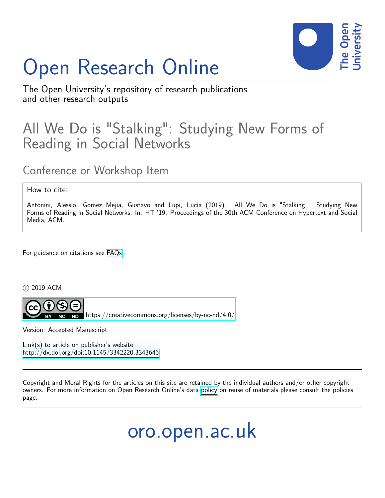

# Open Research Online

The Open University's repository of research publications and other research outputs

## All We Do is "Stalking": Studying New Forms of Reading in Social Networks

## Conference or Workshop Item

#### How to cite:

Antonini, Alessio; Gomez Mejia, Gustavo and Lupi, Lucia (2019). All We Do is "Stalking": Studying New Forms of Reading in Social Networks. In: HT '19: Proceedings of the 30th ACM Conference on Hypertext and Social Media, ACM.

For guidance on citations see [FAQs.](http://oro.open.ac.uk/help/helpfaq.html)

c 2019 ACM



 $N$ D <https://creativecommons.org/licenses/by-nc-nd/4.0/>

Version: Accepted Manuscript

Link(s) to article on publisher's website: <http://dx.doi.org/doi:10.1145/3342220.3343646>

Copyright and Moral Rights for the articles on this site are retained by the individual authors and/or other copyright owners. For more information on Open Research Online's data [policy](http://oro.open.ac.uk/policies.html) on reuse of materials please consult the policies page.

oro.open.ac.uk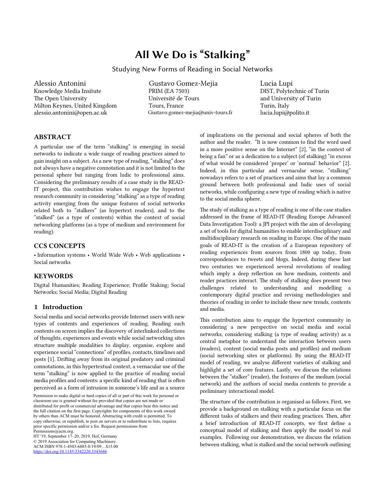### All We Do is "Stalking"

#### Studying New Forms of Reading in Social Networks

Alessio Antonini Knowledge Media Insitute The Open University Milton Keynes, United Kingdom alessio.antonini@open.ac.uk

Gustavo Gomez-Mejia PRIM (EA 7503) Université de Tours Tours, France Gustavo.gomez-mejia@univ-tours.fr Lucia Lupi DIST, Polytechnic of Turin and University of Turin Turin, Italy lucia.lupi@polito.it

#### ABSTRACT

A particular use of the term "stalking" is emerging in social networks to indicate a wide range of reading practices aimed to gain insight on a subject. As a new type of reading, "stalking" does not always have a negative connotation and it is not limited to the personal sphere but ranging from ludic to professional aims. Considering the preliminary results of a case study in the READ-IT project, this contribution wishes to engage the hypertext research community in considering "stalking" as a type of reading activity emerging from the unique features of social networks related both to "stalkers" (as hypertext readers), and to the "stalked" (as a type of contents) within the context of social networking platforms (as a type of medium and environment for reading).

#### CCS CONCEPTS

• Information systems • World Wide Web • Web applications • Social networks

#### **KEYWORDS**

Digital Humanities; Reading Experience; Profile Staking; Social Networks; Social Media; Digital Reading

#### 1 Introduction

Social media and social networks provide Internet users with new types of contents and experiences of reading. Reading such contents on screen implies the discovery of interlinked collections of thoughts, experiences and events while social networking sites structure multiple modalities to display, organise, explore and experience social "connections" of profiles, contacts, timelines and posts [1]. Drifing away from its original predatory and criminal connotations, in this hypertextual context, a vernacular use of the term "stalking" is now applied to the practice of reading social media profiles and contents: a specific kind of reading that is often perceived as a form of intrusion in someone's life and as a source

HT '19, September 17–20, 2019, Hof, Germany © 2019 Association for Computing Machinery. ACM ISBN 978-1-4503-6885-8/19/09…\$15.00 https://doi.org/10.1145/3342220.3343646

of implications on the personal and social spheres of both the author and the reader. "It is now common to find the word used in a more positive sense on the Internet" [2], "in the context of being a fan" or as a dedication to a subject (of stalking) "in excess of what would be considered 'proper' or 'normal' behavior" [2]. Indeed, in this particular and vernacular sense, "stalking" nowadays refers to a set of practices and aims that lay a common ground between both professional and ludic uses of social networks, while configuring a new type of reading which is native to the social media sphere.

The study of stalking as a type of reading is one of the case studies addressed in the frame of READ-IT (Reading Europe Advanced Data Investigation Tool): a JPI project with the aim of developing a set of tools for digital humanities to enable interdisciplinary and multidisciplinary research on reading in Europe. One of the main goals of READ-IT is the creation of a European repository of reading experiences from sources from 1800 up today, from correspondences to tweets and blogs. Indeed, during these last two centuries we experienced several revolutions of reading which imply a deep reflection on how medium, contents and reader practices interact. The study of stalking does present two challenges related to understanding and modelling a contemporary digital practice and revising methodologies and theories of reading in order to include these new trends, contents and media.

This contribution aims to engage the hypertext community in considering a new perspective on social media and social networks, considering stalking (a type of reading activity) as a central metaphor to understand the interaction between users (readers), content (social media posts and profiles) and medium (social networking sites or platforms). By using the READ-IT model of reading, we analyse different varieties of stalking and highlight a set of core features. Lastly, we discuss the relations between the "stalker" (reader), the features of the medium (social network) and the authors of social media contents to provide a preliminary interactional model.

The structure of the contribution is organised as follows. First, we provide a background on stalking with a particular focus on the different tasks of stalkers and their reading practices. Then, after a brief introduction of READ-IT concepts, we first define a conceptual model of stalking and then apply the model to real examples. Following our demonstration, we discuss the relation between stalking, what is stalked and the social network outlining

Permission to make digital or hard copies of all or part of this work for personal or classroom use is granted without fee provided that copies are not made or distributed for profit or commercial advantage and that copies bear this notice and the full citation on the first page. Copyrights for components of this work owned by others than ACM must be honored. Abstracting with credit is permitted. To copy otherwise, or republish, to post on servers or to redistribute to lists, requires prior specific permission and/or a fee. Request permissions from Permissions@acm.org.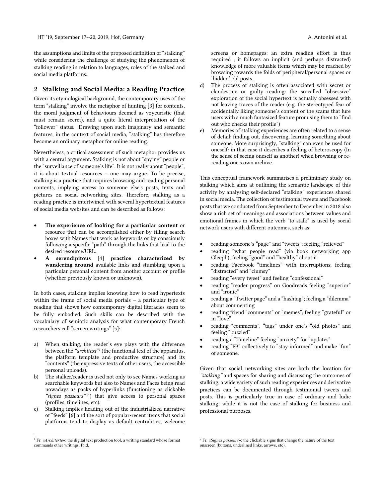the assumptions and limits of the proposed definition of "stalking" while considering the challenge of studying the phenomenon of stalking reading in relation to languages, roles of the stalked and social media platforms..

#### 2 Stalking and Social Media: a Reading Practice

Given its etymological background, the contemporary uses of the term "stalking" involve the metaphor of hunting [3] for contents, the moral judgment of behaviours deemed as voyeuristic (that must remain secret), and a quite literal interpretation of the "follower" status. Drawing upon such imaginary and semantic features, in the context of social media, "stalking" has therefore become an ordinary metaphor for online reading.

Nevertheless, a critical assessment of such metaphor provides us with a central argument: Stalking is not about "spying" people or the "surveillance of someone's life". It is not really about "people", it is about textual resources – one may argue. To be precise, stalking is a practice that requires browsing and reading personal contents, implying access to someone else's posts, texts and pictures on social networking sites. Therefore, stalking as a reading practice is intertwined with several hypertextual features of social media websites and can be described as follows:

- The experience of looking for a particular content or resource that can be accomplished either by filling search boxes with Names that work as keywords or by consciously following a specific "path" through the links that lead to the desired resource/URL.
- A serendipitous [4] practice characterized by wandering around available links and stumbling upon a particular personal content from another account or profile (whether previously known or unknown).

In both cases, stalking implies knowing how to read hypertexts within the frame of social media portals – a particular type of reading that shows how contemporary digital literacies seem to be fully embodied. Such skills can be described with the vocabulary of semiotic analysis for what contemporary French researchers call "screen writings" [5]:

- a) When stalking, the reader's eye plays with the difference between the *"architext"1* (the functional text of the apparatus, the platform template and productive structure) and its "contents" (the expressive texts of other users, the accessible personal uploads).
- b) The stalker/reader is used not only to see Names working as searchable keywords but also to Names and Faces being read nowadays as packs of hyperlinks (functioning as clickable *"signes passeurs" <sup>2</sup>* ) that give access to personal spaces (profiles, timelines, etc).
- c) Stalking implies heading out of the industrialized narrative of "feeds" [6] and the sort of popular-recent items that social platforms tend to display as default centralities, welcome
- d) The process of stalking is often associated with secret or clandestine or guilty reading: the so-called "obsessive" exploration of the social hypertext is actually obsessed with not leaving traces of the reader (e.g. the stereotyped fear of accidentally liking someone's content or the scams that lure users with a much fantasized feature promising them to "find out who checks their profile")
- e) Memories of stalking experiences are often related to a sense of detail: finding out, discovering, learning something about someone. More surprisingly, "stalking" can even be used for oneself: in that case it describes a feeling of heteroscopy (In the sense of seeing oneself as another) when browsing or rereading one's own archive.

This conceptual framework summarises a preliminary study on stalking which aims at outlining the semantic landscape of this activity by analysing self-declared "stalking" experiences shared in social media. The collection of testimonial tweets and Facebook posts that we conducted from September to December in 2018 also show a rich set of meanings and associations between values and emotional frames in which the verb "to stalk" is used by social network users with different outcomes, such as:

- reading someone's "page" and "tweets"; feeling "relieved"
- reading "what people read" (via book networking app Gleeph); feeling "good" and "healthy" about it
- reading Facebook "timelines" with interruptions; feeling "distracted" and "clumsy"
- reading "every tweet" and feeling "confessional"
- reading "reader progress" on Goodreads feeling "superior" and "ironic"
- reading a "Twitter page" and a "hashtag"; feeling a "dilemma" about commenting
- reading friend "comments" or "memes"; feeling "grateful" or in "love"
- reading "comments", "tags" under one's "old photos" and feeling "puzzled"
- reading a "Timeline" feeling "anxiety" for "updates"
- reading "FB" collectively to "stay informed" and make "fun" of someone.

Given that social networking sites are both the location for *"stalking"* and spaces for sharing and discussing the outcomes of stalking, a wide variety of such reading experiences and derivative practices can be documented through testimonial tweets and posts. This is particularly true in case of ordinary and ludic stalking, while it is not the case of stalking for business and professional purposes.

<sup>&</sup>lt;sup>1</sup> Fr. «*Architexte»*: the digital text production tool, a writing standard whose format commands other writings. Ibid.

<sup>2</sup> Fr. «*Signes passeurs*»: the clickable signs that change the nature of the text onscreen (buttons, underlined links, arrows, etc).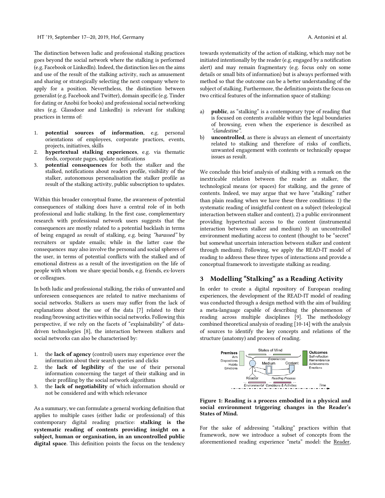The distinction between ludic and professional stalking practices goes beyond the social network where the stalking is performed (e.g. Facebook or LinkedIn). Indeed, the distinction lies on the aims and use of the result of the stalking activity, such as amusement and sharing or strategically selecting the next company where to apply for a position. Nevertheless, the distinction between generalist (e.g. Facebook and Twiter), domain specific (e.g. Tinder for dating or Anobii for books) and professional social networking sites (e.g. Glassdoor and LinkedIn) is relevant for stalking practices in terms of:

- 1. potential sources of information, e.g. personal orientations of employees, corporate practices, events, projects, initiatives, skills
- 2. hypertextual stalking experiences, e.g. via thematic feeds, corporate pages, update notifications
- 3. potential consequences for both the stalker and the stalked, notifications about readers profile, visibility of the stalker, autonomous personalisation the stalker profile as result of the stalking activity, public subscription to updates.

Within this broader conceptual frame, the awareness of potential consequences of stalking does have a central role of in both professional and ludic stalking. In the first case, complementary research with professional network users suggests that the consequences are mostly related to a potential backlash in terms of being engaged as result of stalking, e.g. being *"harassed"* by recruiters or update emails; while in the later case the consequences may also involve the personal and social spheres of the user, in terms of potential conflicts with the stalked and of emotional distress as a result of the investigation on the life of people with whom we share special bonds, e.g. friends, ex-lovers or colleagues.

In both ludic and professional stalking, the risks of unwanted and unforeseen consequences are related to native mechanisms of social networks. Stalkers as users may suffer from the lack of explanations about the use of the data [7] related to their reading/browsing activities within social networks. Following this perspective, if we rely on the facets of "explainability" of datadriven technologies [8], the interaction between stalkers and social networks can also be characterised by:

- 1. the lack of agency (control) users may experience over the information about their search queries and clicks
- 2. the lack of legibility of the use of their personal information concerning the target of their stalking and in their profiling by the social network algorithms
- 3. the lack of negotiability of which information should or not be considered and with which relevance

As a summary, we can formulate a general working definition that applies to multiple cases (either ludic or professional) of this contemporary digital reading practice: stalking is the systematic reading of contents providing insight on a subject, human or organisation, in an uncontrolled public digital space. This definition points the focus on the tendency towards systematicity of the action of stalking, which may not be initiated intentionally by the reader (e.g. engaged by a notification alert) and may remain fragmentary (e.g. focus only on some details or small bits of information) but is always performed with method so that the outcome can be a beter understanding of the subject of stalking. Furthermore, the definition points the focus on two critical features of the information space of stalking:

- a) public, as "stalking" is a contemporary type of reading that is focused on contents available within the legal boundaries of browsing, even when the experience is described as *"clandestine".*
- b) uncontrolled, as there is always an element of uncertainty related to stalking and therefore of risks of conflicts, unwanted engagement with contents or technically opaque issues as result.

We conclude this brief analysis of stalking with a remark on the inextricable relation between the reader as stalker, the technological means (or spaces) for stalking, and the genre of contents. Indeed, we may argue that we have "stalking" rather than plain reading when we have these three conditions: 1) the systematic reading of insightful content on a subject (teleological interaction between stalker and content), 2) a public environment providing hypertextual access to the content (instrumental interaction between stalker and medium) 3) an uncontrolled environment mediating access to content (thought to be "secret" but somewhat uncertain interaction between stalker and content through medium). Following, we apply the READ-IT model of reading to address these three types of interactions and provide a conceptual framework to investigate stalking as reading.

#### 3 Modelling "Stalking" as a Reading Activity

In order to create a digital repository of European reading experiences, the development of the READ-IT model of reading was conducted through a design method with the aim of building a meta-language capable of describing the phenomenon of reading across multiple disciplines [9]. The methodology combined theoretical analysis of reading [10-14] with the analysis of sources to identify the key concepts and relations of the structure (anatomy) and process of reading.



Figure 1: Reading is a process embodied in a physical and social environment triggering changes in the Reader's States of Mind.

For the sake of addressing "stalking" practices within that framework, now we introduce a subset of concepts from the aforementioned reading experience "meta" model: the Reader,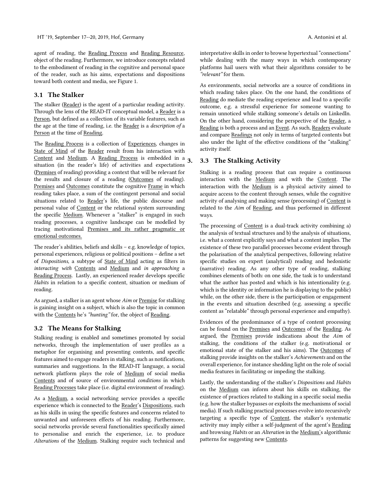agent of reading, the Reading Process and Reading Resource, object of the reading. Furthermore, we introduce concepts related to the embodiment of reading in the cognitive and personal space of the reader, such as his aims, expectations and dispositions toward both content and media, see Figure 1.

#### 3.1 The Stalker

The stalker (Reader) is the agent of a particular reading activity. Through the lens of the READ-IT conceptual model, a Reader is a Person, but defined as a collection of its variable features, such as the age at the time of reading, i.e. the Reader is a *description of* a Person at the time of Reading.

The Reading Process is a collection of Experiences, changes in State of Mind of the Reader result from his interaction with Content and <u>Medium</u>. A <u>Reading Process</u> is embedded in a 3. situation (in the reader's life) of activities and expectations (Premises of reading) providing a context that will be relevant for the results and closure of a reading (Outcomes of reading). Premises and Outcomes constitute the cognitive Frame in which reading takes place, a sum of the contingent personal and social situations related to Reader's life, the public discourse and personal value of Content or the relational system surrounding the specific Medium. Whenever a "stalker" is engaged in such reading processes, a cognitive landscape can be modelled by tracing motivational Premises and its rather pragmatic or emotional outcomes.

The reader's abilities, beliefs and skills – e.g. knowledge of topics, personal experiences, religious or political positions – define a set of *Dispositions*, a subtype of State of Mind acting as filters in *interacting with* Contents and Medium and *in approaching* a Reading Process. Lastly, an experienced reader develops specific *Habits* in relation to a specific content, situation or medium of reading.

As argued, a stalker is an agent whose *Aim* or Premise for stalking is gaining insight on a subject, which is also the topic in common with the Contents he's *"hunting"* for, the object of Reading.

#### 3.2 The Means for Stalking

Stalking reading is enabled and sometimes promoted by social networks, through the implementation of user profiles as a metaphor for organising and presenting contents, and specific features aimed to engage readers in stalking, such as notifications, summaries and suggestions. In the READ-IT language, a social network platform plays the role of Medium of social media Contents and of source of environmental *conditions* in which Reading Processes take place (i.e. digital environment of reading).

As a Medium, a social networking service provides a specific experience which is connected to the Reader's Dispositions, such as his skills in using the specific features and concerns related to unwanted and unforeseen effects of his reading. Furthermore, social networks provide several functionalities specifically aimed to personalise and enrich the experience, i.e. to produce *Alterations* of the Medium. Stalking require such technical and interpretative skills in order to browse hypertextual "connections" while dealing with the many ways in which contemporary platforms hail users with what their algorithms consider to be *"relevant"* for them.

As environments, social networks are a source of conditions in which reading takes place. On the one hand, the conditions of Reading do mediate the reading experience and lead to a specific outcome, e.g. a stressful experience for someone wanting to remain unnoticed while stalking someone's details on LinkedIn. On the other hand, considering the perspective of the Reader, a Reading is both a process and an Event. As such, Readers evaluate and compare Readings not only in terms of targeted contents but also under the light of the effective conditions of the "stalking" activity itself.

#### 3.3 The Stalking Activity

Stalking is a reading process that can require a continuous interaction with the Medium and with the Content. The interaction with the Medium is a physical activity aimed to acquire access to the content through senses, while the cognitive activity of analysing and making sense (processing) of Content is related to the *Aim* of Reading, and thus performed in different ways.

The processing of Content is a dual-track activity combining a) the analysis of textual structures and b) the analysis of situations, i.e. what a content explicitly says and what a content implies. The existence of these two parallel processes become evident through the polarisation of the analytical perspectives, following relative specific studies on expert (analytical) reading and hedonistic (narrative) reading. As any other type of reading, stalking combines elements of both: on one side, the task is to understand what the author has posted and which is his intentionality (e.g. which is the identity or information he is displaying to the public) while, on the other side, there is the participation or engagement in the events and situation described (e.g. assessing a specific content as "relatable" through personal experience and empathy).

Evidences of the predominance of a type of content processing can be found on the Premises and Outcomes of the Reading. As argued, the Premises provide indications about the *Aim* of stalking, the conditions of the stalker (e.g. motivational or emotional state of the stalker and his aims). The Outcomes of stalking provide insights on the stalker's *Achievements* and on the overall experience, for instance shedding light on the role of social media features in facilitating or impeding the stalking.

Lastly, the understanding of the stalker's *Dispositions* and *Habits* on the Medium can inform about his skills on stalking, the existence of practices related to stalking in a specific social media (e.g. how the stalker bypasses or exploits the mechanisms of social media). If such stalking practical processes evolve into recursively targeting a specific type of Content, the stalker's systematic activity may imply either a self-judgment of the agent's Reading and browsing *Habits* or an *Alteration* in the Medium's algorithmic patterns for suggesting new Contents.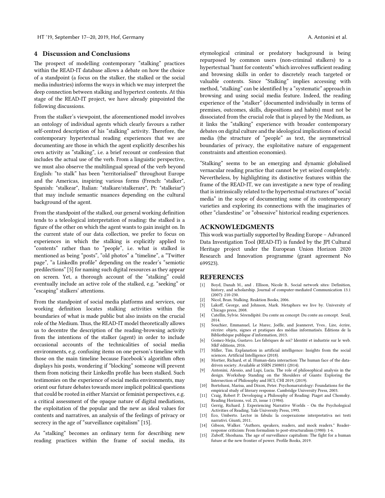#### 4 Discussion and Conclusions

The prospect of modelling contemporary "stalking" practices within the READ-IT database allows a debate on how the choice of a standpoint (a focus on the stalker, the stalked or the social media industries) informs the ways in which we may interpret the deep connection between stalking and hypertext contents. At this stage of the READ-IT project, we have already pinpointed the following discussions.

From the stalker's viewpoint, the aforementioned model involves an ontology of individual agents which clearly favours a rather self-centred description of his "stalking" activity. Therefore, the contemporary hypertextual reading experiences that we are documenting are those in which the agent explicitly describes his own activity as "stalking", i.e. a brief recount or confession that includes the actual use of the verb. From a linguistic perspective, we must also observe the multilingual spread of the verb beyond English: "to stalk" has been "territorialised" throughout Europe and the Americas, inspiring various forms (French: "stalker", Spanish: "stalkear", Italian: "stalkare/stalkerare", Pt: "stalkeiar") that may include semantic nuances depending on the cultural background of the agent.

From the standpoint of the stalked, our general working definition tends to a teleological interpretation of reading: the stalked is a figure of the other on which the agent wants to gain insight on. In the current state of our data collection, we prefer to focus on experiences in which the stalking is explicitly applied to "contents" rather than to "people", i.e. what is stalked is mentioned as being "posts", "old photos" a "timeline", a "Twiter page", "a LinkedIn profile" depending on the reader's "semiotic predilections" [5] for naming such digital resources as they appear on screen. Yet, a thorough account of the "stalking" could eventually include an active role of the stalked, e.g. "seeking" or "escaping" stalkers' atentions.

From the standpoint of social media platforms and services, our working definition locates stalking activities within the boundaries of what is made public but also insists on the crucial role of the Medium. Thus, the READ-IT model theoretically allows us to decentre the description of the reading-browsing activity from the intentions of the stalker (agent) in order to include occasional accounts of the technicalities of social media environments, e.g. confusing items on one person's timeline with those on the main timeline because Facebook's algorithm often displays his posts, wondering if "blocking" someone will prevent them from noticing their LinkedIn profile has been stalked. Such testimonies on the experience of social media environments, may orient our future debates towards more implicit political questions that could be rooted in either Marxist or feminist perspectives, e.g. a critical assessment of the opaque nature of digital mediations, the exploitation of the popular and the new as ideal values for contents and narratives, an analysis of the feelings of privacy or secrecy in the age of "surveillance capitalism" [15].

As "stalking" becomes an ordinary term for describing new reading practices within the frame of social media, its etymological criminal or predatory background is being repurposed by common users (non-criminal stalkers) to a hypertextual "hunt for contents" which involves sufficient reading and browsing skills in order to discretely reach targeted or valuable contents. Since "Stalking" implies accessing with method, "stalking" can be identified by a "systematic" approach in browsing and using social media feature. Indeed, the reading experience of the "stalker" (documented individually in terms of premises, outcomes, skills, dispositions and habits) must not be dissociated from the crucial role that is played by the Medium, as it links the "stalking" experience with broader contemporary debates on digital culture and the ideological implications of social media (the structure of "people" as text, the asymmetrical boundaries of privacy, the exploitative nature of engagement constraints and atention economies).

"Stalking" seems to be an emerging and dynamic globalised vernacular reading practice that cannot be yet seized completely. Nevertheless, by highlighting its distinctive features within the frame of the READ-IT, we can investigate a new type of reading that is intrinsically related to the hypertextual structures of "social media" in the scope of documenting some of its contemporary varieties and exploring its connections with the imaginaries of other "clandestine" or "obsessive" historical reading experiences.

#### ACKNOWLEDGMENTS

This work was partially supported by Reading Europe – Advanced Data Investigation Tool (READ-IT) is funded by the JPI Cultural Heritage project under the European Union Horizon 2020 Research and Innovation programme (grant agreement No 699523).

#### REFERENCES

- [1] Boyd, Danah M., and . Ellison, Nicole B.. Social network sites: Definition, history, and scholarship. Journal of computer-mediated Communication 13.1 (2007): 210-230.
- Nicol, Bran. Stalking. Reaktion Books, 2006.
- [3] Lakoff, George, and Johnson, Mark. Metaphors we live by. University of Chicago press, 2008.
- [4] Catellin, Sylvie. Sérendipité. Du conte au concept: Du conte au concept. Seuil, 2014.
- [5] Souchier, Emmanuel, Le Marec, Joëlle, and Jeanneret, Yves.. Lire, écrire, récrire: objets, signes et pratiques des médias informatisés. Éditions de la Bibliothèque publique d'information, 2013.
- [6] Gomez-Mejia, Gustavo. Les fabriques de soi? Identité et industrie sur le web. MkF éditions, 2016.
- [7] Miller, Tim. Explanation in artificial intelligence: Insights from the social sciences. Artificial Intelligence (2018).
- [8] Mortier, Richard, et al. Human-data interaction: The human face of the datadriven society. Available at SSRN 2508051 (2014).
- [9] Antonini, Alessio, and Lupi, Lucia. The role of philosophical analysis in the design. Workshop Standing on the Shoulders of Giants: Exploring the Intersection of Philosophy and HCI, CHI 2019, (2019).
- [10] Bortolussi, Marisa, and Dixon, Peter. Psychonarratology: Foundations for the empirical study of literary response. Cambridge University Press, 2003.
- [11] Craig, Robert P. Developing a Philosophy of Reading: Piaget and Chomsky. Reading Horizons, vol. 25, issue 1 (1984).
- [12] Gerrig, Richard. J. Experiencing Narrative Worlds On the Psychological Activities of Reading. Yale University Press, 1993.
- [13] Eco, Umberto. Lector in fabula: la cooperazione interpretativa nei testi narrativi. Giunti, 2011.
- [14] Gibson, Walker. "Authors, speakers, readers, and mock readers." Readerresponse criticism: From formalism to post-structuralism (1980): 1-6.
- [15] Zuboff, Shoshana. The age of surveillance capitalism: The fight for a human future at the new frontier of power. Profile Books, 2019.